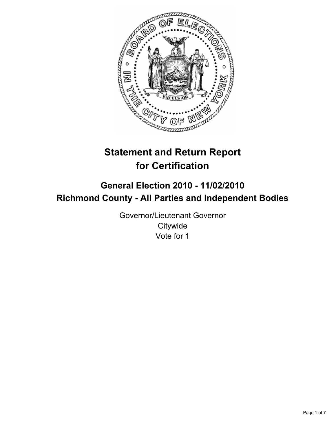

# **Statement and Return Report for Certification**

## **General Election 2010 - 11/02/2010 Richmond County - All Parties and Independent Bodies**

Governor/Lieutenant Governor **Citywide** Vote for 1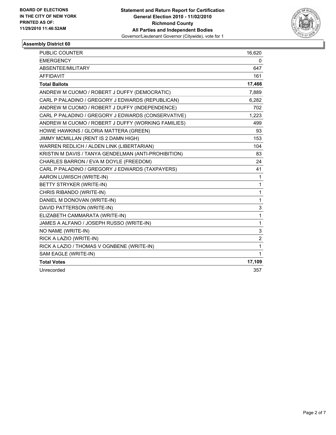

| PUBLIC COUNTER                                       | 16,620         |
|------------------------------------------------------|----------------|
| <b>EMERGENCY</b>                                     | 0              |
| ABSENTEE/MILITARY                                    | 647            |
| <b>AFFIDAVIT</b>                                     | 161            |
| <b>Total Ballots</b>                                 | 17,466         |
| ANDREW M CUOMO / ROBERT J DUFFY (DEMOCRATIC)         | 7,889          |
| CARL P PALADINO / GREGORY J EDWARDS (REPUBLICAN)     | 6,282          |
| ANDREW M CUOMO / ROBERT J DUFFY (INDEPENDENCE)       | 702            |
| CARL P PALADINO / GREGORY J EDWARDS (CONSERVATIVE)   | 1,223          |
| ANDREW M CUOMO / ROBERT J DUFFY (WORKING FAMILIES)   | 499            |
| HOWIE HAWKINS / GLORIA MATTERA (GREEN)               | 93             |
| JIMMY MCMILLAN (RENT IS 2 DAMN HIGH)                 | 153            |
| WARREN REDLICH / ALDEN LINK (LIBERTARIAN)            | 104            |
| KRISTIN M DAVIS / TANYA GENDELMAN (ANTI-PROHIBITION) | 83             |
| CHARLES BARRON / EVA M DOYLE (FREEDOM)               | 24             |
| CARL P PALADINO / GREGORY J EDWARDS (TAXPAYERS)      | 41             |
| AARON LUWISCH (WRITE-IN)                             | $\mathbf{1}$   |
| BETTY STRYKER (WRITE-IN)                             | $\mathbf{1}$   |
| CHRIS RIBANDO (WRITE-IN)                             | $\mathbf{1}$   |
| DANIEL M DONOVAN (WRITE-IN)                          | 1              |
| DAVID PATTERSON (WRITE-IN)                           | 3              |
| ELIZABETH CAMMARATA (WRITE-IN)                       | $\mathbf{1}$   |
| JAMES A ALFANO / JOSEPH RUSSO (WRITE-IN)             | 1              |
| NO NAME (WRITE-IN)                                   | 3              |
| RICK A LAZIO (WRITE-IN)                              | $\overline{2}$ |
| RICK A LAZIO / THOMAS V OGNBENE (WRITE-IN)           | $\mathbf{1}$   |
| SAM EAGLE (WRITE-IN)                                 | 1              |
| <b>Total Votes</b>                                   | 17,109         |
| Unrecorded                                           | 357            |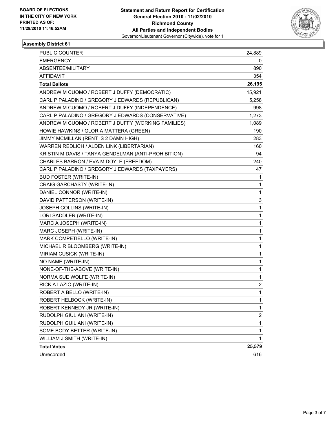

| <b>PUBLIC COUNTER</b>                                | 24,889       |
|------------------------------------------------------|--------------|
| <b>EMERGENCY</b>                                     | 0            |
| ABSENTEE/MILITARY                                    | 890          |
| AFFIDAVIT                                            | 354          |
| <b>Total Ballots</b>                                 | 26,195       |
| ANDREW M CUOMO / ROBERT J DUFFY (DEMOCRATIC)         | 15,921       |
| CARL P PALADINO / GREGORY J EDWARDS (REPUBLICAN)     | 5,258        |
| ANDREW M CUOMO / ROBERT J DUFFY (INDEPENDENCE)       | 998          |
| CARL P PALADINO / GREGORY J EDWARDS (CONSERVATIVE)   | 1,273        |
| ANDREW M CUOMO / ROBERT J DUFFY (WORKING FAMILIES)   | 1,089        |
| HOWIE HAWKINS / GLORIA MATTERA (GREEN)               | 190          |
| JIMMY MCMILLAN (RENT IS 2 DAMN HIGH)                 | 283          |
| WARREN REDLICH / ALDEN LINK (LIBERTARIAN)            | 160          |
| KRISTIN M DAVIS / TANYA GENDELMAN (ANTI-PROHIBITION) | 94           |
| CHARLES BARRON / EVA M DOYLE (FREEDOM)               | 240          |
| CARL P PALADINO / GREGORY J EDWARDS (TAXPAYERS)      | 47           |
| <b>BUD FOSTER (WRITE-IN)</b>                         | 1            |
| CRAIG GARCHASTY (WRITE-IN)                           | 1            |
| DANIEL CONNOR (WRITE-IN)                             | 1            |
| DAVID PATTERSON (WRITE-IN)                           | 3            |
| JOSEPH COLLINS (WRITE-IN)                            | $\mathbf{1}$ |
| LORI SADDLER (WRITE-IN)                              | 1            |
| MARC A JOSEPH (WRITE-IN)                             | 1            |
| MARC JOSEPH (WRITE-IN)                               | 1            |
| MARK COMPETIELLO (WRITE-IN)                          | 1            |
| MICHAEL R BLOOMBERG (WRITE-IN)                       | 1            |
| MIRIAM CUSICK (WRITE-IN)                             | 1            |
| NO NAME (WRITE-IN)                                   | 1            |
| NONE-OF-THE-ABOVE (WRITE-IN)                         | 1            |
| NORMA SUE WOLFE (WRITE-IN)                           | 1            |
| RICK A LAZIO (WRITE-IN)                              | 2            |
| ROBERT A BELLO (WRITE-IN)                            | $\mathbf{1}$ |
| ROBERT HELBOCK (WRITE-IN)                            | 1            |
| ROBERT KENNEDY JR (WRITE-IN)                         | 1            |
| RUDOLPH GIULIANI (WRITE-IN)                          | 2            |
| RUDOLPH GUILIANI (WRITE-IN)                          | $\mathbf 1$  |
| SOME BODY BETTER (WRITE-IN)                          | 1            |
| WILLIAM J SMITH (WRITE-IN)                           | 1            |
| <b>Total Votes</b>                                   | 25,579       |
| Unrecorded                                           | 616          |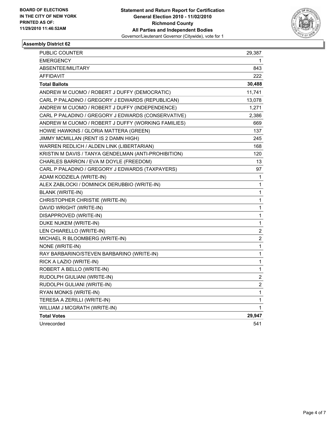

| PUBLIC COUNTER                                       | 29,387                  |
|------------------------------------------------------|-------------------------|
| EMERGENCY                                            | 1                       |
| ABSENTEE/MILITARY                                    | 843                     |
| AFFIDAVIT                                            | 222                     |
| <b>Total Ballots</b>                                 | 30,488                  |
| ANDREW M CUOMO / ROBERT J DUFFY (DEMOCRATIC)         | 11,741                  |
| CARL P PALADINO / GREGORY J EDWARDS (REPUBLICAN)     | 13,078                  |
| ANDREW M CUOMO / ROBERT J DUFFY (INDEPENDENCE)       | 1,271                   |
| CARL P PALADINO / GREGORY J EDWARDS (CONSERVATIVE)   | 2,386                   |
| ANDREW M CUOMO / ROBERT J DUFFY (WORKING FAMILIES)   | 669                     |
| HOWIE HAWKINS / GLORIA MATTERA (GREEN)               | 137                     |
| JIMMY MCMILLAN (RENT IS 2 DAMN HIGH)                 | 245                     |
| WARREN REDLICH / ALDEN LINK (LIBERTARIAN)            | 168                     |
| KRISTIN M DAVIS / TANYA GENDELMAN (ANTI-PROHIBITION) | 120                     |
| CHARLES BARRON / EVA M DOYLE (FREEDOM)               | 13                      |
| CARL P PALADINO / GREGORY J EDWARDS (TAXPAYERS)      | 97                      |
| ADAM KODZIELA (WRITE-IN)                             | 1                       |
| ALEX ZABLOCKI / DOMINICK DERUBBIO (WRITE-IN)         | 1                       |
| <b>BLANK (WRITE-IN)</b>                              | 1                       |
| CHRISTOPHER CHRISTIE (WRITE-IN)                      | 1                       |
| DAVID WRIGHT (WRITE-IN)                              | 1                       |
| DISAPPROVED (WRITE-IN)                               | 1                       |
| DUKE NUKEM (WRITE-IN)                                | 1                       |
| LEN CHIARELLO (WRITE-IN)                             | $\boldsymbol{2}$        |
| MICHAEL R BLOOMBERG (WRITE-IN)                       | 2                       |
| NONE (WRITE-IN)                                      | 1                       |
| RAY BARBARINO/STEVEN BARBARINO (WRITE-IN)            | 1                       |
| RICK A LAZIO (WRITE-IN)                              | 1                       |
| ROBERT A BELLO (WRITE-IN)                            | 1                       |
| RUDOLPH GIULIANI (WRITE-IN)                          | $\overline{\mathbf{c}}$ |
| RUDOLPH GULIANI (WRITE-IN)                           | $\overline{c}$          |
| RYAN MONKS (WRITE-IN)                                | 1                       |
| TERESA A ZERILLI (WRITE-IN)                          | 1                       |
| WILLIAM J MCGRATH (WRITE-IN)                         | 1                       |
| <b>Total Votes</b>                                   | 29,947                  |
| Unrecorded                                           | 541                     |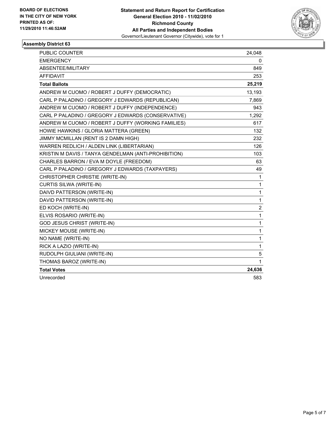

| <b>PUBLIC COUNTER</b>                                | 24,048                  |
|------------------------------------------------------|-------------------------|
| <b>EMERGENCY</b>                                     | 0                       |
| ABSENTEE/MILITARY                                    | 849                     |
| <b>AFFIDAVIT</b>                                     | 253                     |
| <b>Total Ballots</b>                                 | 25,219                  |
| ANDREW M CUOMO / ROBERT J DUFFY (DEMOCRATIC)         | 13,193                  |
| CARL P PALADINO / GREGORY J EDWARDS (REPUBLICAN)     | 7,869                   |
| ANDREW M CUOMO / ROBERT J DUFFY (INDEPENDENCE)       | 943                     |
| CARL P PALADINO / GREGORY J EDWARDS (CONSERVATIVE)   | 1,292                   |
| ANDREW M CUOMO / ROBERT J DUFFY (WORKING FAMILIES)   | 617                     |
| HOWIE HAWKINS / GLORIA MATTERA (GREEN)               | 132                     |
| JIMMY MCMILLAN (RENT IS 2 DAMN HIGH)                 | 232                     |
| WARREN REDLICH / ALDEN LINK (LIBERTARIAN)            | 126                     |
| KRISTIN M DAVIS / TANYA GENDELMAN (ANTI-PROHIBITION) | 103                     |
| CHARLES BARRON / EVA M DOYLE (FREEDOM)               | 63                      |
| CARL P PALADINO / GREGORY J EDWARDS (TAXPAYERS)      | 49                      |
| CHRISTOPHER CHRISTIE (WRITE-IN)                      | 1                       |
| <b>CURTIS SILWA (WRITE-IN)</b>                       | 1                       |
| DAIVD PATTERSON (WRITE-IN)                           | 1                       |
| DAVID PATTERSON (WRITE-IN)                           | 1                       |
| ED KOCH (WRITE-IN)                                   | $\overline{\mathbf{c}}$ |
| ELVIS ROSARIO (WRITE-IN)                             | 1                       |
| GOD JESUS CHRIST (WRITE-IN)                          | 1                       |
| MICKEY MOUSE (WRITE-IN)                              | 1                       |
| NO NAME (WRITE-IN)                                   | 1                       |
| RICK A LAZIO (WRITE-IN)                              | 1                       |
| RUDOLPH GIULIANI (WRITE-IN)                          | 5                       |
| THOMAS BAROZ (WRITE-IN)                              | 1                       |
| <b>Total Votes</b>                                   | 24,636                  |
| Unrecorded                                           | 583                     |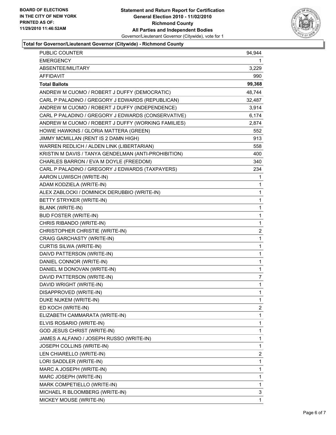

#### **Total for Governor/Lieutenant Governor (Citywide) - Richmond County**

| PUBLIC COUNTER                                       | 94,944         |
|------------------------------------------------------|----------------|
| <b>EMERGENCY</b>                                     | 1              |
| ABSENTEE/MILITARY                                    | 3,229          |
| <b>AFFIDAVIT</b>                                     | 990            |
| <b>Total Ballots</b>                                 | 99,368         |
| ANDREW M CUOMO / ROBERT J DUFFY (DEMOCRATIC)         | 48,744         |
| CARL P PALADINO / GREGORY J EDWARDS (REPUBLICAN)     | 32,487         |
| ANDREW M CUOMO / ROBERT J DUFFY (INDEPENDENCE)       | 3,914          |
| CARL P PALADINO / GREGORY J EDWARDS (CONSERVATIVE)   | 6,174          |
| ANDREW M CUOMO / ROBERT J DUFFY (WORKING FAMILIES)   | 2,874          |
| HOWIE HAWKINS / GLORIA MATTERA (GREEN)               | 552            |
| JIMMY MCMILLAN (RENT IS 2 DAMN HIGH)                 | 913            |
| WARREN REDLICH / ALDEN LINK (LIBERTARIAN)            | 558            |
| KRISTIN M DAVIS / TANYA GENDELMAN (ANTI-PROHIBITION) | 400            |
| CHARLES BARRON / EVA M DOYLE (FREEDOM)               | 340            |
| CARL P PALADINO / GREGORY J EDWARDS (TAXPAYERS)      | 234            |
| AARON LUWISCH (WRITE-IN)                             | 1              |
| ADAM KODZIELA (WRITE-IN)                             | 1              |
| ALEX ZABLOCKI / DOMINICK DERUBBIO (WRITE-IN)         | 1              |
| BETTY STRYKER (WRITE-IN)                             | 1              |
| <b>BLANK (WRITE-IN)</b>                              | $\mathbf 1$    |
| <b>BUD FOSTER (WRITE-IN)</b>                         | 1              |
| CHRIS RIBANDO (WRITE-IN)                             | 1              |
| CHRISTOPHER CHRISTIE (WRITE-IN)                      | $\overline{c}$ |
| CRAIG GARCHASTY (WRITE-IN)                           | 1              |
| CURTIS SILWA (WRITE-IN)                              | 1              |
| DAIVD PATTERSON (WRITE-IN)                           | $\mathbf 1$    |
| DANIEL CONNOR (WRITE-IN)                             | 1              |
| DANIEL M DONOVAN (WRITE-IN)                          | 1              |
| DAVID PATTERSON (WRITE-IN)                           | 7              |
| DAVID WRIGHT (WRITE-IN)                              | $\mathbf{1}$   |
| DISAPPROVED (WRITE-IN)                               | 1              |
| DUKE NUKEM (WRITE-IN)                                | 1              |
| ED KOCH (WRITE-IN)                                   | 2              |
| ELIZABETH CAMMARATA (WRITE-IN)                       | 1              |
| ELVIS ROSARIO (WRITE-IN)                             | 1              |
| GOD JESUS CHRIST (WRITE-IN)                          | 1              |
| JAMES A ALFANO / JOSEPH RUSSO (WRITE-IN)             | 1              |
| JOSEPH COLLINS (WRITE-IN)                            | 1              |
| LEN CHIARELLO (WRITE-IN)                             | 2              |
| LORI SADDLER (WRITE-IN)                              | 1              |
| MARC A JOSEPH (WRITE-IN)                             | 1              |
| MARC JOSEPH (WRITE-IN)                               | 1              |
| MARK COMPETIELLO (WRITE-IN)                          | 1              |
| MICHAEL R BLOOMBERG (WRITE-IN)                       | 3              |
| MICKEY MOUSE (WRITE-IN)                              | 1              |